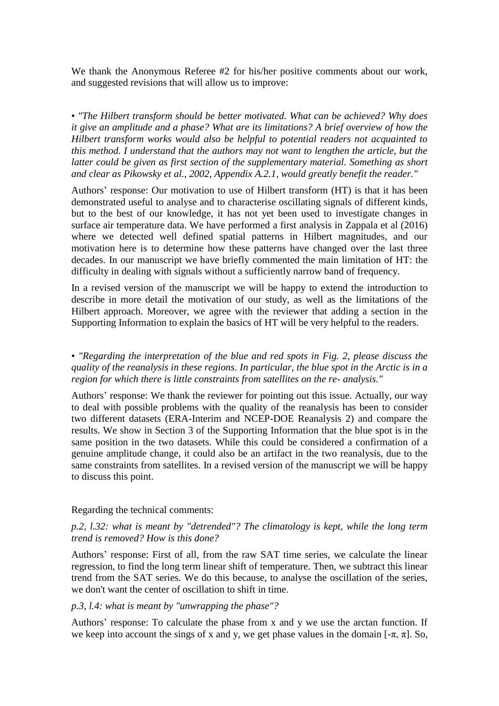We thank the Anonymous Referee #2 for his/her positive comments about our work, and suggested revisions that will allow us to improve:

• *"The Hilbert transform should be better motivated. What can be achieved? Why does it give an amplitude and a phase? What are its limitations? A brief overview of how the Hilbert transform works would also be helpful to potential readers not acquainted to this method. I understand that the authors may not want to lengthen the article, but the latter could be given as first section of the supplementary material. Something as short and clear as Pikowsky et al., 2002, Appendix A.2.1, would greatly benefit the reader."*

Authors' response: Our motivation to use of Hilbert transform (HT) is that it has been demonstrated useful to analyse and to characterise oscillating signals of different kinds, but to the best of our knowledge, it has not yet been used to investigate changes in surface air temperature data. We have performed a first analysis in Zappala et al (2016) where we detected well defined spatial patterns in Hilbert magnitudes, and our motivation here is to determine how these patterns have changed over the last three decades. In our manuscript we have briefly commented the main limitation of HT: the difficulty in dealing with signals without a sufficiently narrow band of frequency.

In a revised version of the manuscript we will be happy to extend the introduction to describe in more detail the motivation of our study, as well as the limitations of the Hilbert approach. Moreover, we agree with the reviewer that adding a section in the Supporting Information to explain the basics of HT will be very helpful to the readers.

• *"Regarding the interpretation of the blue and red spots in Fig. 2, please discuss the quality of the reanalysis in these regions. In particular, the blue spot in the Arctic is in a region for which there is little constraints from satellites on the re- analysis."*

Authors' response: We thank the reviewer for pointing out this issue. Actually, our way to deal with possible problems with the quality of the reanalysis has been to consider two different datasets (ERA-Interim and NCEP-DOE Reanalysis 2) and compare the results. We show in Section 3 of the Supporting Information that the blue spot is in the same position in the two datasets. While this could be considered a confirmation of a genuine amplitude change, it could also be an artifact in the two reanalysis, due to the same constraints from satellites. In a revised version of the manuscript we will be happy to discuss this point.

#### Regarding the technical comments:

### *p.2, l.32: what is meant by "detrended"? The climatology is kept, while the long term trend is removed? How is this done?*

Authors' response: First of all, from the raw SAT time series, we calculate the linear regression, to find the long term linear shift of temperature. Then, we subtract this linear trend from the SAT series. We do this because, to analyse the oscillation of the series, we don't want the center of oscillation to shift in time.

#### *p.3, l.4: what is meant by "unwrapping the phase"?*

Authors' response: To calculate the phase from x and y we use the arctan function. If we keep into account the sings of x and y, we get phase values in the domain  $[-\pi, \pi]$ . So,